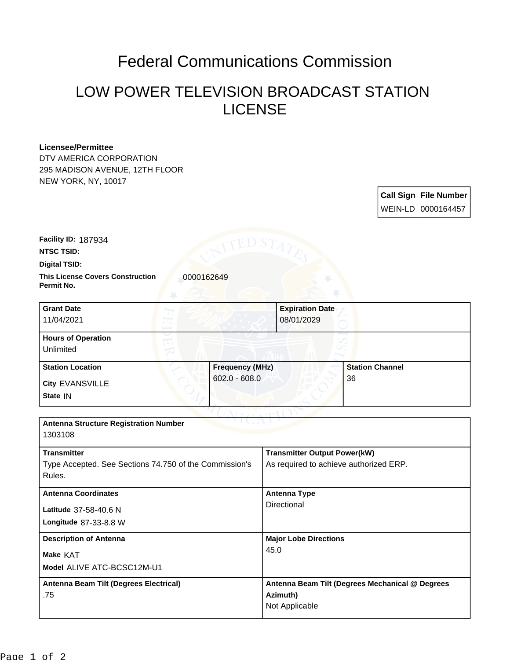## Federal Communications Commission

## LOW POWER TELEVISION BROADCAST STATION LICENSE

## **Licensee/Permittee**

DTV AMERICA CORPORATION 295 MADISON AVENUE, 12TH FLOOR NEW YORK, NY, 10017

> **Call Sign File Number** WEIN-LD 0000164457

**Facility ID:** 187934

**NTSC TSID:**

**Digital TSID:**

**This License Covers Construction**  0000162649 **Permit No.**

| <b>Grant Date</b><br>11/04/2021        | <b>Expiration Date</b><br>08/01/2029 |                        |
|----------------------------------------|--------------------------------------|------------------------|
| <b>Hours of Operation</b><br>Unlimited |                                      |                        |
| <b>Station Location</b>                | <b>Frequency (MHz)</b>               | <b>Station Channel</b> |
| City EVANSVILLE<br>State IN            | $602.0 - 608.0$                      | 36                     |

| <b>Antenna Structure Registration Number</b>                                 |                                                                               |  |
|------------------------------------------------------------------------------|-------------------------------------------------------------------------------|--|
| 1303108                                                                      |                                                                               |  |
| <b>Transmitter</b><br>Type Accepted. See Sections 74.750 of the Commission's | <b>Transmitter Output Power(kW)</b><br>As required to achieve authorized ERP. |  |
| Rules.                                                                       |                                                                               |  |
| <b>Antenna Coordinates</b>                                                   | Antenna Type                                                                  |  |
| Latitude 37-58-40.6 N                                                        | Directional                                                                   |  |
| <b>Longitude 87-33-8.8 W</b>                                                 |                                                                               |  |
| <b>Description of Antenna</b>                                                | <b>Major Lobe Directions</b>                                                  |  |
| Make KAT                                                                     | 45.0                                                                          |  |
| Model ALIVE ATC-BCSC12M-U1                                                   |                                                                               |  |
| Antenna Beam Tilt (Degrees Electrical)                                       | Antenna Beam Tilt (Degrees Mechanical @ Degrees                               |  |
| .75                                                                          | Azimuth)                                                                      |  |
|                                                                              | Not Applicable                                                                |  |